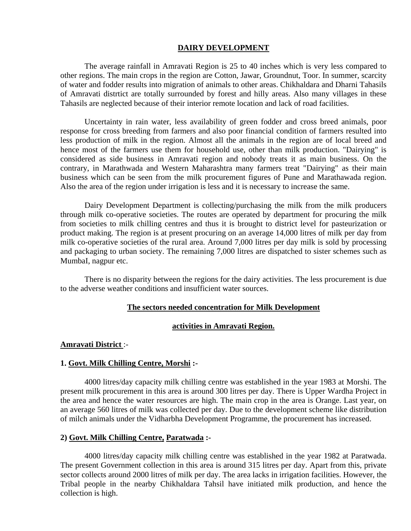#### **DAIRY DEVELOPMENT**

The average rainfall in Amravati Region is 25 to 40 inches which is very less compared to other regions. The main crops in the region are Cotton, Jawar, Groundnut, Toor. In summer, scarcity of water and fodder results into migration of animals to other areas. Chikhaldara and Dharni Tahasils of Amravati distrtict are totally surrounded by forest and hilly areas. Also many villages in these Tahasils are neglected because of their interior remote location and lack of road facilities.

Uncertainty in rain water, less availability of green fodder and cross breed animals, poor response for cross breeding from farmers and also poor financial condition of farmers resulted into less production of milk in the region. Almost all the animals in the region are of local breed and hence most of the farmers use them for household use, other than milk production. "Dairying" is considered as side business in Amravati region and nobody treats it as main business. On the contrary, in Marathwada and Western Maharashtra many farmers treat "Dairying" as their main business which can be seen from the milk procurement figures of Pune and Marathawada region. Also the area of the region under irrigation is less and it is necessary to increase the same.

Dairy Development Department is collecting/purchasing the milk from the milk producers through milk co-operative societies. The routes are operated by department for procuring the milk from societies to milk chilling centres and thus it is brought to district level for pasteurization or product making. The region is at present procuring on an average 14,000 litres of milk per day from milk co-operative societies of the rural area. Around 7,000 litres per day milk is sold by processing and packaging to urban society. The remaining 7,000 litres are dispatched to sister schemes such as MumbaI, nagpur etc.

There is no disparity between the regions for the dairy activities. The less procurement is due to the adverse weather conditions and insufficient water sources.

#### **The sectors needed concentration for Milk Development**

### **activities in Amravati Region.**

#### **Amravati District** :-

#### **1. Govt. Milk Chilling Centre, Morshi :-**

4000 litres/day capacity milk chilling centre was established in the year 1983 at Morshi. The present milk procurement in this area is around 300 litres per day. There is Upper Wardha Project in the area and hence the water resources are high. The main crop in the area is Orange. Last year, on an average 560 litres of milk was collected per day. Due to the development scheme like distribution of milch animals under the Vidharbha Development Programme, the procurement has increased.

#### **2) Govt. Milk Chilling Centre, Paratwada :-**

4000 litres/day capacity milk chilling centre was established in the year 1982 at Paratwada. The present Government collection in this area is around 315 litres per day. Apart from this, private sector collects around 2000 litres of milk per day. The area lacks in irrigation facilities. However, the Tribal people in the nearby Chikhaldara Tahsil have initiated milk production, and hence the collection is high.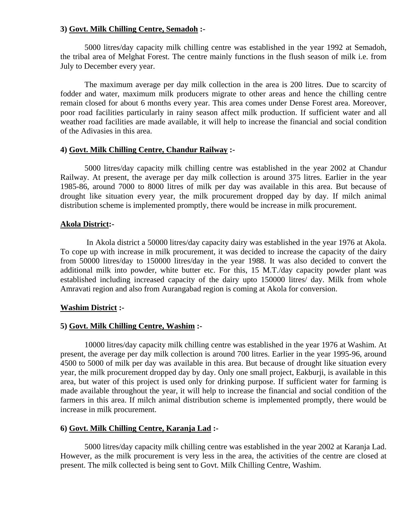# **3) Govt. Milk Chilling Centre, Semadoh :-**

5000 litres/day capacity milk chilling centre was established in the year 1992 at Semadoh, the tribal area of Melghat Forest. The centre mainly functions in the flush season of milk i.e. from July to December every year.

The maximum average per day milk collection in the area is 200 litres. Due to scarcity of fodder and water, maximum milk producers migrate to other areas and hence the chilling centre remain closed for about 6 months every year. This area comes under Dense Forest area. Moreover, poor road facilities particularly in rainy season affect milk production. If sufficient water and all weather road facilities are made available, it will help to increase the financial and social condition of the Adivasies in this area.

# **4) Govt. Milk Chilling Centre, Chandur Railway :-**

5000 litres/day capacity milk chilling centre was established in the year 2002 at Chandur Railway. At present, the average per day milk collection is around 375 litres. Earlier in the year 1985-86, around 7000 to 8000 litres of milk per day was available in this area. But because of drought like situation every year, the milk procurement dropped day by day. If milch animal distribution scheme is implemented promptly, there would be increase in milk procurement.

# **Akola District:-**

 In Akola district a 50000 litres/day capacity dairy was established in the year 1976 at Akola. To cope up with increase in milk procurement, it was decided to increase the capacity of the dairy from 50000 litres/day to 150000 litres/day in the year 1988. It was also decided to convert the additional milk into powder, white butter etc. For this, 15 M.T./day capacity powder plant was established including increased capacity of the dairy upto 150000 litres/ day. Milk from whole Amravati region and also from Aurangabad region is coming at Akola for conversion.

# **Washim District :-**

# **5) Govt. Milk Chilling Centre, Washim :-**

10000 litres/day capacity milk chilling centre was established in the year 1976 at Washim. At present, the average per day milk collection is around 700 litres. Earlier in the year 1995-96, around 4500 to 5000 of milk per day was available in this area. But because of drought like situation every year, the milk procurement dropped day by day. Only one small project, Eakburji, is available in this area, but water of this project is used only for drinking purpose. If sufficient water for farming is made available throughout the year, it will help to increase the financial and social condition of the farmers in this area. If milch animal distribution scheme is implemented promptly, there would be increase in milk procurement.

# **6) Govt. Milk Chilling Centre, Karanja Lad :-**

5000 litres/day capacity milk chilling centre was established in the year 2002 at Karanja Lad. However, as the milk procurement is very less in the area, the activities of the centre are closed at present. The milk collected is being sent to Govt. Milk Chilling Centre, Washim.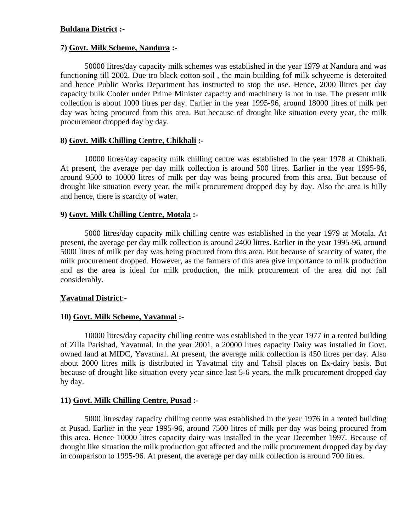# **Buldana District :-**

### **7) Govt. Milk Scheme, Nandura :-**

50000 litres/day capacity milk schemes was established in the year 1979 at Nandura and was functioning till 2002. Due tro black cotton soil , the main building fof milk schyeeme is deteroited and hence Public Works Department has instructed to stop the use. Hence, 2000 llitres per day capacity bulk Cooler under Prime Minister capacity and machinery is not in use. The present milk collection is about 1000 litres per day. Earlier in the year 1995-96, around 18000 litres of milk per day was being procured from this area. But because of drought like situation every year, the milk procurement dropped day by day.

# **8) Govt. Milk Chilling Centre, Chikhali :-**

10000 litres/day capacity milk chilling centre was established in the year 1978 at Chikhali. At present, the average per day milk collection is around 500 litres. Earlier in the year 1995-96, around 9500 to 10000 litres of milk per day was being procured from this area. But because of drought like situation every year, the milk procurement dropped day by day. Also the area is hilly and hence, there is scarcity of water.

### **9) Govt. Milk Chilling Centre, Motala :-**

5000 litres/day capacity milk chilling centre was established in the year 1979 at Motala. At present, the average per day milk collection is around 2400 litres. Earlier in the year 1995-96, around 5000 litres of milk per day was being procured from this area. But because of scarcity of water, the milk procurement dropped. However, as the farmers of this area give importance to milk production and as the area is ideal for milk production, the milk procurement of the area did not fall considerably.

#### **Yavatmal District**:-

# **10) Govt. Milk Scheme, Yavatmal :-**

10000 litres/day capacity chilling centre was established in the year 1977 in a rented building of Zilla Parishad, Yavatmal. In the year 2001, a 20000 litres capacity Dairy was installed in Govt. owned land at MIDC, Yavatmal. At present, the average milk collection is 450 litres per day. Also about 2000 litres milk is distributed in Yavatmal city and Tahsil places on Ex-dairy basis. But because of drought like situation every year since last 5-6 years, the milk procurement dropped day by day.

# **11) Govt. Milk Chilling Centre, Pusad :-**

5000 litres/day capacity chilling centre was established in the year 1976 in a rented building at Pusad. Earlier in the year 1995-96, around 7500 litres of milk per day was being procured from this area. Hence 10000 litres capacity dairy was installed in the year December 1997. Because of drought like situation the milk production got affected and the milk procurement dropped day by day in comparison to 1995-96. At present, the average per day milk collection is around 700 litres.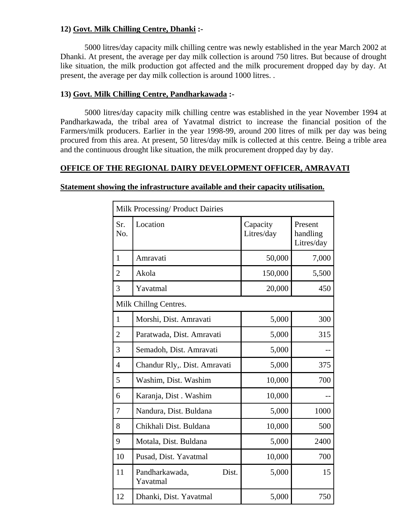# **12) Govt. Milk Chilling Centre, Dhanki :-**

5000 litres/day capacity milk chilling centre was newly established in the year March 2002 at Dhanki. At present, the average per day milk collection is around 750 litres. But because of drought like situation, the milk production got affected and the milk procurement dropped day by day. At present, the average per day milk collection is around 1000 litres. .

# **13) Govt. Milk Chilling Centre, Pandharkawada :-**

5000 litres/day capacity milk chilling centre was established in the year November 1994 at Pandharkawada, the tribal area of Yavatmal district to increase the financial position of the Farmers/milk producers. Earlier in the year 1998-99, around 200 litres of milk per day was being procured from this area. At present, 50 litres/day milk is collected at this centre. Being a trible area and the continuous drought like situation, the milk procurement dropped day by day.

# **OFFICE OF THE REGIONAL DAIRY DEVELOPMENT OFFICER, AMRAVATI**

# **Statement showing the infrastructure available and their capacity utilisation.**

| Milk Processing/ Product Dairies |                                     |                        |                                   |  |
|----------------------------------|-------------------------------------|------------------------|-----------------------------------|--|
| Sr.<br>No.                       | Location                            | Capacity<br>Litres/day | Present<br>handling<br>Litres/day |  |
| $\mathbf{1}$                     | Amravati                            | 50,000                 | 7,000                             |  |
| $\overline{2}$                   | Akola                               | 150,000                | 5,500                             |  |
| 3                                | Yavatmal                            | 20,000                 | 450                               |  |
| Milk Chillng Centres.            |                                     |                        |                                   |  |
| $\mathbf{1}$                     | Morshi, Dist. Amravati              | 5,000                  | 300                               |  |
| $\overline{2}$                   | Paratwada, Dist. Amravati           | 5,000                  | 315                               |  |
| 3                                | Semadoh, Dist. Amravati             | 5,000                  |                                   |  |
| $\overline{4}$                   | Chandur Rly,. Dist. Amravati        | 5,000                  | 375                               |  |
| 5                                | Washim, Dist. Washim                | 10,000                 | 700                               |  |
| 6                                | Karanja, Dist. Washim               | 10,000                 |                                   |  |
| 7                                | Nandura, Dist. Buldana              | 5,000                  | 1000                              |  |
| 8                                | Chikhali Dist. Buldana              | 10,000                 | 500                               |  |
| 9                                | Motala, Dist. Buldana               | 5,000                  | 2400                              |  |
| 10                               | Pusad, Dist. Yavatmal               | 10,000                 | 700                               |  |
| 11                               | Pandharkawada,<br>Dist.<br>Yavatmal | 5,000                  | 15                                |  |
| 12                               | Dhanki, Dist. Yavatmal              | 5,000                  | 750                               |  |